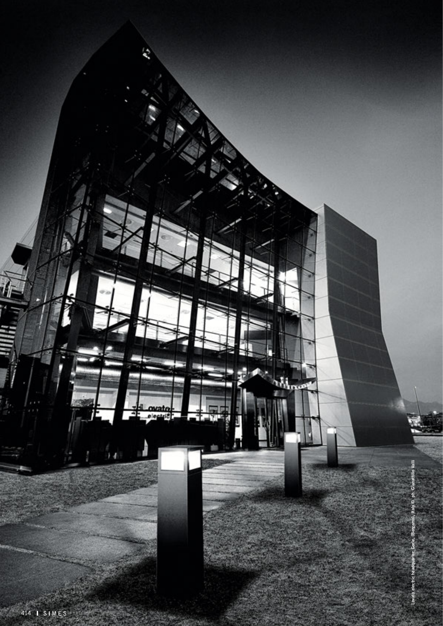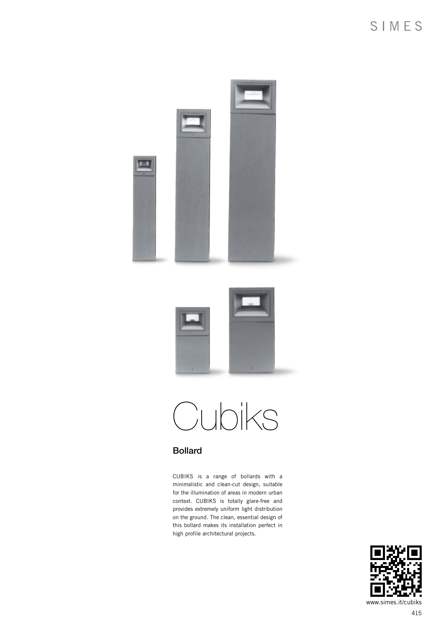





## Bollard

CUBIKS is a range of bollards with a minimalistic and clean-cut design, suitable for the illumination of areas in modern urban context. CUBIKS is totally glare-free and provides extremely uniform light distribution on the ground. The clean, essential design of this bollard makes its installation perfect in high profile architectural projects.



www.simes.it/cubiks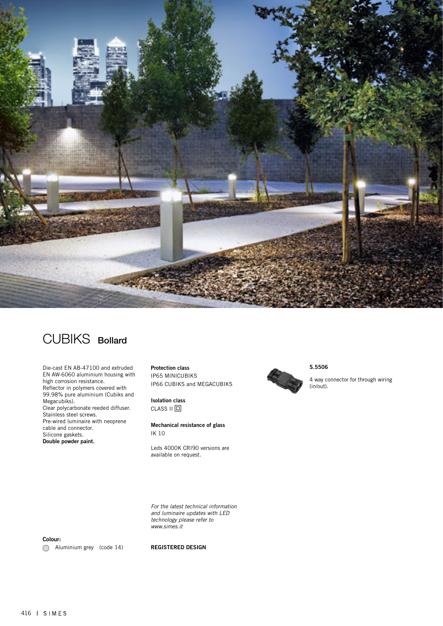

## CUBIKS Bollard

Die-cast EN AB-47100 and extruded EN AW-6060 aluminium housing with high corrosion resistance. Reflector in polymers covered with 99.98% pure aluminium (Cubiks and Megacubiks). Clear polycarbonate reeded diffuser. Stainless steel screws. Pre-wired luminaire with neoprene cable and connector. Silicone gaskets. Double powder paint.

Protection class IP65 MINICUBIKS IP66 CUBIKS and MEGACUBIKS

Isolation class  $CLASS II  $\Box$$ 

Mechanical resistance of glass IK 10

Leds 4000K CRI90 versions are available on request.

*For the latest technical information and luminaire updates with LED technology please refer to www.simes.it* 

### Colour:

Aluminium grey (code 14)

REGISTERED DESIGN



S.5506

4 way connector for through wiring (in/out).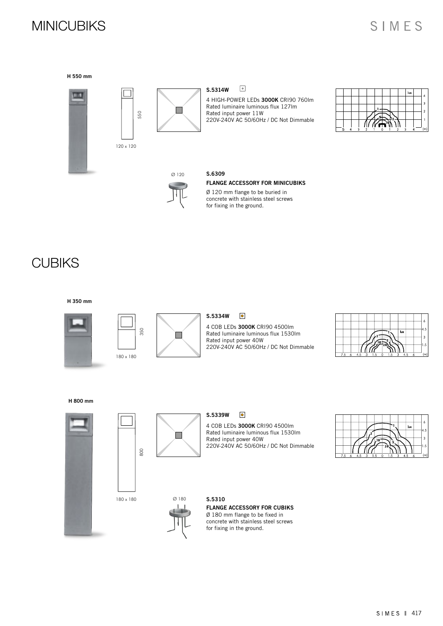# **MINICUBIKS**

H 550 mm





120 x 120



#### $\boxed{\circ}$ S.5314W

4 HIGH-POWER LEDs 3000K CRI90 760lm Rated luminaire luminous flux 127lm Rated input power 11W 220V-240V AC 50/60Hz / DC Not Dimmable

|            |   |          |  |  |        | lux |                |
|------------|---|----------|--|--|--------|-----|----------------|
|            |   |          |  |  |        |     |                |
|            |   |          |  |  |        |     | 3              |
|            |   |          |  |  |        |     | $\overline{2}$ |
|            |   |          |  |  |        |     |                |
|            |   |          |  |  |        |     |                |
|            |   |          |  |  |        |     |                |
| $\sqrt{2}$ | ċ | $\Omega$ |  |  | $\sim$ | o   | 'n             |

Ø 120



### S.6309

FLANGE ACCESSORY FOR MINICUBIKS Ø 120 mm flange to be buried in

concrete with stainless steel screws for fixing in the ground.

## **CUBIKS**

H 350 mm





180 x 180

800



#### $\bullet$ S.5334W

4 COB LEDs 3000K CRI90 4500lm Rated luminaire luminous flux 1530lm Rated input power 40W 220V-240V AC 50/60Hz / DC Not Dimmable

|  |        |  |   |     |  | 6  |
|--|--------|--|---|-----|--|----|
|  |        |  |   |     |  | .5 |
|  |        |  |   | lux |  |    |
|  |        |  |   |     |  | 3  |
|  |        |  |   |     |  |    |
|  |        |  |   |     |  | .5 |
|  |        |  |   |     |  |    |
|  | $\sim$ |  | ۰ |     |  | mì |

H 800 mm





Ø 180

#### $\bullet$ S.5339W

4 COB LEDs 3000K CRI90 4500lm Rated luminaire luminous flux 1530lm Rated input power 40W 220V-240V AC 50/60Hz / DC Not Dimmable

|     |                                |                 |    |     |                       | lux | 6   |
|-----|--------------------------------|-----------------|----|-----|-----------------------|-----|-----|
|     |                                |                 |    |     |                       |     | 4.5 |
|     |                                |                 | 20 |     |                       |     | 3   |
|     |                                |                 |    |     |                       |     | .5  |
| 7.5 | $\overline{\mathbf{3}}$<br>4.5 | 1.5<br>$\Omega$ |    | 1.5 | $\overline{3}$<br>4.5 |     | mį  |

### FLANGE ACCESSORY FOR CUBIKS S.5310

Ø 180 mm flange to be fixed in concrete with stainless steel screws for fixing in the ground.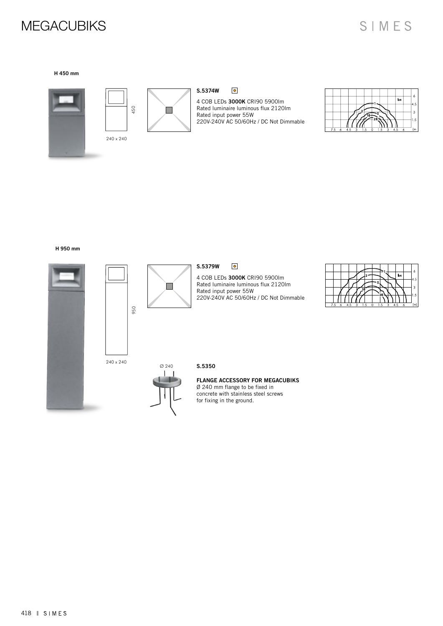# **MEGACUBIKS**

H 450 mm





#### $\bullet$ S.5374W

4 COB LEDs 3000K CRI90 5900lm Rated luminaire luminous flux 2120lm Rated input power 55W 220V-240V AC 50/60Hz / DC Not Dimmable

|     |   |     |     |   |    |   | lux | o        |
|-----|---|-----|-----|---|----|---|-----|----------|
|     |   |     |     |   |    |   |     | 4.5<br>3 |
|     |   |     |     |   |    |   |     | .5       |
|     |   |     |     |   |    |   |     |          |
| 7.5 | ŕ | 4.5 | 1.5 | Ω | .5 | 3 | 4.5 | 'n       |

lux

### H 950 mm